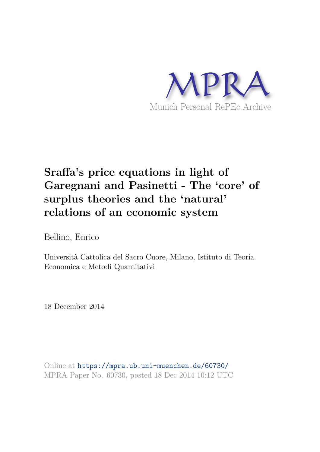

# **Sraffa's price equations in light of Garegnani and Pasinetti - The 'core' of surplus theories and the 'natural' relations of an economic system**

Bellino, Enrico

Università Cattolica del Sacro Cuore, Milano, Istituto di Teoria Economica e Metodi Quantitativi

18 December 2014

Online at https://mpra.ub.uni-muenchen.de/60730/ MPRA Paper No. 60730, posted 18 Dec 2014 10:12 UTC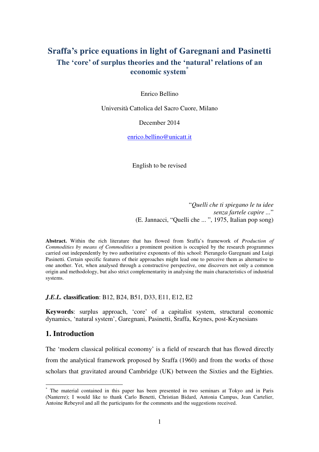# **Sraffa's price equations in light of Garegnani and Pasinetti The 'core' of surplus theories and the 'natural' relations of an economic system\***

Enrico Bellino

Università Cattolica del Sacro Cuore, Milano

December 2014

enrico.bellino@unicatt.it

English to be revised

"*Quelli che ti spiegano le tu idee senza fartele capire ...*" (E. Jannacci, "Quelli che ... ", 1975, Italian pop song)

**Abstract.** Within the rich literature that has flowed from Sraffa's framework of *Production of Commodities by means of Commodities* a prominent position is occupied by the research programmes carried out independently by two authoritative exponents of this school: Pierangelo Garegnani and Luigi Pasinetti. Certain specific features of their approaches might lead one to perceive them as alternative to one another. Yet, when analysed through a constructive perspective, one discovers not only a common origin and methodology, but also strict complementarity in analysing the main characteristics of industrial systems.

#### *J.E.L.* **classification**: B12, B24, B51, D33, E11, E12, E2

**Keywords**: surplus approach, 'core' of a capitalist system, structural economic dynamics, 'natural system', Garegnani, Pasinetti, Sraffa, Keynes, post-Keynesians

# **1. Introduction**

 $\overline{a}$ 

The 'modern classical political economy' is a field of research that has flowed directly from the analytical framework proposed by Sraffa (1960) and from the works of those scholars that gravitated around Cambridge (UK) between the Sixties and the Eighties.

<sup>\*</sup> The material contained in this paper has been presented in two seminars at Tokyo and in Paris (Nanterre); I would like to thank Carlo Benetti, Christian Bidard, Antonia Campus, Jean Cartelier, Antoine Rebeyrol and all the participants for the comments and the suggestions received.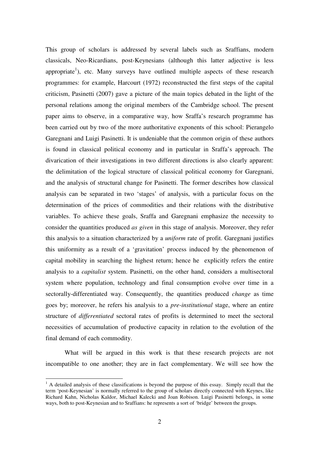This group of scholars is addressed by several labels such as Sraffians, modern classicals, Neo-Ricardians, post-Keynesians (although this latter adjective is less appropriate<sup>1</sup>), etc. Many surveys have outlined multiple aspects of these research programmes: for example, Harcourt (1972) reconstructed the first steps of the capital criticism, Pasinetti (2007) gave a picture of the main topics debated in the light of the personal relations among the original members of the Cambridge school. The present paper aims to observe, in a comparative way, how Sraffa's research programme has been carried out by two of the more authoritative exponents of this school: Pierangelo Garegnani and Luigi Pasinetti. It is undeniable that the common origin of these authors is found in classical political economy and in particular in Sraffa's approach. The divarication of their investigations in two different directions is also clearly apparent: the delimitation of the logical structure of classical political economy for Garegnani, and the analysis of structural change for Pasinetti. The former describes how classical analysis can be separated in two 'stages' of analysis, with a particular focus on the determination of the prices of commodities and their relations with the distributive variables. To achieve these goals, Sraffa and Garegnani emphasize the necessity to consider the quantities produced *as given* in this stage of analysis. Moreover, they refer this analysis to a situation characterized by a *uniform* rate of profit. Garegnani justifies this uniformity as a result of a 'gravitation' process induced by the phenomenon of capital mobility in searching the highest return; hence he explicitly refers the entire analysis to a *capitalist* system. Pasinetti, on the other hand, considers a multisectoral system where population, technology and final consumption evolve over time in a sectorally-differentiated way. Consequently, the quantities produced *change* as time goes by; moreover, he refers his analysis to a *pre-institutional* stage, where an entire structure of *differentiated* sectoral rates of profits is determined to meet the sectoral necessities of accumulation of productive capacity in relation to the evolution of the final demand of each commodity.

 What will be argued in this work is that these research projects are not incompatible to one another; they are in fact complementary. We will see how the

<sup>&</sup>lt;sup>1</sup> A detailed analysis of these classifications is beyond the purpose of this essay. Simply recall that the term 'post-Keynesian' is normally referred to the group of scholars directly connected with Keynes, like Richard Kahn, Nicholas Kaldor, Michael Kalecki and Joan Robison. Luigi Pasinetti belongs, in some ways, both to post-Keynesian and to Sraffians: he represents a sort of 'bridge' between the groups.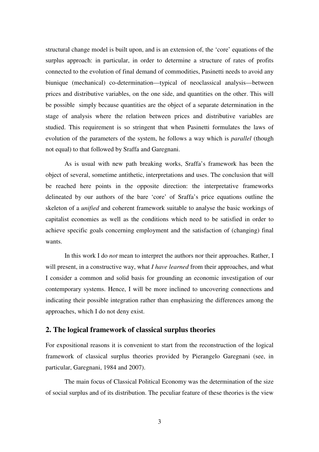structural change model is built upon, and is an extension of, the 'core' equations of the surplus approach: in particular, in order to determine a structure of rates of profits connected to the evolution of final demand of commodities, Pasinetti needs to avoid any biunique (mechanical) co-determination—typical of neoclassical analysis—between prices and distributive variables, on the one side, and quantities on the other. This will be possible simply because quantities are the object of a separate determination in the stage of analysis where the relation between prices and distributive variables are studied. This requirement is so stringent that when Pasinetti formulates the laws of evolution of the parameters of the system, he follows a way which is *parallel* (though not equal) to that followed by Sraffa and Garegnani.

As is usual with new path breaking works, Sraffa's framework has been the object of several, sometime antithetic, interpretations and uses. The conclusion that will be reached here points in the opposite direction: the interpretative frameworks delineated by our authors of the bare 'core' of Sraffa's price equations outline the skeleton of a *unified* and coherent framework suitable to analyse the basic workings of capitalist economies as well as the conditions which need to be satisfied in order to achieve specific goals concerning employment and the satisfaction of (changing) final wants.

In this work I do *not* mean to interpret the authors nor their approaches. Rather, I will present, in a constructive way, what *I have learned* from their approaches, and what I consider a common and solid basis for grounding an economic investigation of our contemporary systems. Hence, I will be more inclined to uncovering connections and indicating their possible integration rather than emphasizing the differences among the approaches, which I do not deny exist.

#### **2. The logical framework of classical surplus theories**

For expositional reasons it is convenient to start from the reconstruction of the logical framework of classical surplus theories provided by Pierangelo Garegnani (see, in particular, Garegnani, 1984 and 2007).

 The main focus of Classical Political Economy was the determination of the size of social surplus and of its distribution. The peculiar feature of these theories is the view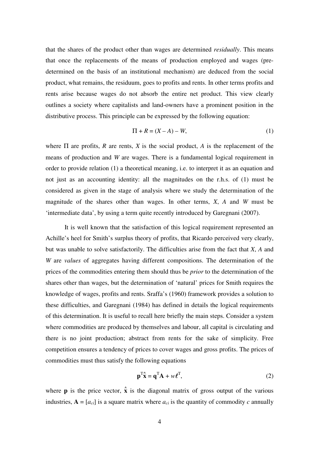that the shares of the product other than wages are determined *residually*. This means that once the replacements of the means of production employed and wages (predetermined on the basis of an institutional mechanism) are deduced from the social product, what remains, the residuum, goes to profits and rents. In other terms profits and rents arise because wages do not absorb the entire net product. This view clearly outlines a society where capitalists and land-owners have a prominent position in the distributive process. This principle can be expressed by the following equation:

$$
\Pi + R = (X - A) - W,\tag{1}
$$

where Π are profits, *R* are rents, *X* is the social product, *A* is the replacement of the means of production and *W* are wages. There is a fundamental logical requirement in order to provide relation (1) a theoretical meaning, i.e. to interpret it as an equation and not just as an accounting identity: all the magnitudes on the r.h.s. of (1) must be considered as given in the stage of analysis where we study the determination of the magnitude of the shares other than wages. In other terms, *X*, *A* and *W* must be 'intermediate data', by using a term quite recently introduced by Garegnani (2007).

 It is well known that the satisfaction of this logical requirement represented an Achille's heel for Smith's surplus theory of profits, that Ricardo perceived very clearly, but was unable to solve satisfactorily. The difficulties arise from the fact that *X*, *A* and *W* are *values* of aggregates having different compositions. The determination of the prices of the commodities entering them should thus be *prior* to the determination of the shares other than wages, but the determination of 'natural' prices for Smith requires the knowledge of wages, profits and rents. Sraffa's (1960) framework provides a solution to these difficulties, and Garegnani (1984) has defined in details the logical requirements of this determination. It is useful to recall here briefly the main steps. Consider a system where commodities are produced by themselves and labour, all capital is circulating and there is no joint production; abstract from rents for the sake of simplicity. Free competition ensures a tendency of prices to cover wages and gross profits. The prices of commodities must thus satisfy the following equations

$$
\mathbf{p}^{\mathrm{T}}\hat{\mathbf{x}} = \mathbf{q}^{\mathrm{T}}\mathbf{A} + w\boldsymbol{\ell}^{\mathrm{T}},\tag{2}
$$

where **p** is the price vector,  $\hat{\mathbf{x}}$  is the diagonal matrix of gross output of the various industries,  $\mathbf{A} = [a_{ci}]$  is a square matrix where  $a_{ci}$  is the quantity of commodity *c* annually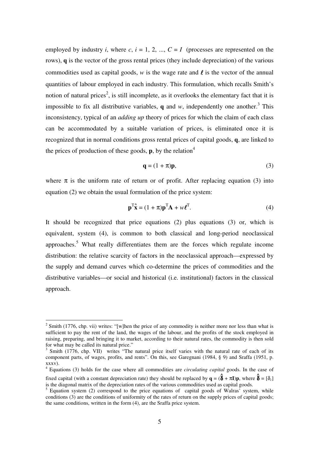employed by industry *i*, where *c*,  $i = 1, 2, ..., C = I$  (processes are represented on the rows), **q** is the vector of the gross rental prices (they include depreciation) of the various commodities used as capital goods, *w* is the wage rate and  $\ell$  is the vector of the annual quantities of labour employed in each industry. This formulation, which recalls Smith's notion of natural prices<sup>2</sup>, is still incomplete, as it overlooks the elementary fact that it is impossible to fix all distributive variables,  $q$  and  $w$ , independently one another.<sup>3</sup> This inconsistency, typical of an *adding up* theory of prices for which the claim of each class can be accommodated by a suitable variation of prices, is eliminated once it is recognized that in normal conditions gross rental prices of capital goods, **q**, are linked to the prices of production of these goods,  $\bf{p}$ , by the relation<sup>4</sup>

$$
\mathbf{q} = (1 + \pi)\mathbf{p},\tag{3}
$$

where  $\pi$  is the uniform rate of return or of profit. After replacing equation (3) into equation (2) we obtain the usual formulation of the price system:

$$
\mathbf{p}^{\mathrm{T}_{\mathbf{X}}^{\wedge}} = (1 + \pi)\mathbf{p}^{\mathrm{T}}\mathbf{A} + w\boldsymbol{\ell}^{\mathrm{T}}.\tag{4}
$$

It should be recognized that price equations (2) plus equations (3) or, which is equivalent, system (4), is common to both classical and long-period neoclassical approaches.<sup>5</sup> What really differentiates them are the forces which regulate income distribution: the relative scarcity of factors in the neoclassical approach—expressed by the supply and demand curves which co-determine the prices of commodities and the distributive variables—or social and historical (i.e. institutional) factors in the classical approach.

<sup>&</sup>lt;sup>2</sup> Smith (1776, chp. vii) writes: "[w]hen the price of any commodity is neither more nor less than what is sufficient to pay the rent of the land, the wages of the labour, and the profits of the stock employed in raising, preparing, and bringing it to market, according to their natural rates, the commodity is then sold for what may be called its natural price."

<sup>&</sup>lt;sup>3</sup> Smith (1776, chp. VII) writes "The natural price itself varies with the natural rate of each of its component parts, of wages, profits, and rents". On this, see Garegnani (1984, § 9) and Sraffa (1951, p. xxxv).

<sup>4</sup> Equations (3) holds for the case where all commodities are *circulating capital* goods. In the case of fixed capital (with a constant depreciation rate) they should be replaced by  $\mathbf{q} = (\hat{\mathbf{\delta}} + \pi \mathbf{I})\mathbf{p}$ , where  $\hat{\mathbf{\delta}} = [\delta_c]$ 

is the diagonal matrix of the depreciation rates of the various commodities used as capital goods.

<sup>&</sup>lt;sup>5</sup> Equation system (2) correspond to the price equations of capital goods of Walras' system, while conditions (3) are the conditions of uniformity of the rates of return on the supply prices of capital goods; the same conditions, written in the form (4), are the Sraffa price system.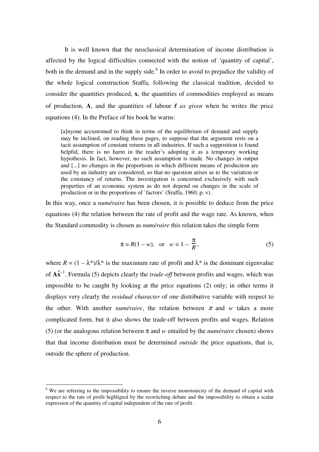It is well known that the neoclassical determination of income distribution is affected by the logical difficulties connected with the notion of 'quantity of capital', both in the demand and in the supply side.<sup>6</sup> In order to avoid to prejudice the validity of the whole logical construction Sraffa, following the classical tradition, decided to consider the quantities produced, **x**, the quantities of commodities employed as means of production, A, and the quantities of labour  $\ell$  as given when he writes the price equations (4). In the Preface of his book he warns:

[a]nyone accustomed to think in terms of the equilibrium of demand and supply may be inclined, on reading these pages, to suppose that the argument rests on a tacit assumption of constant returns in all industries. If such a supposition is found helpful, there is no harm in the reader's adopting it as a temporary working hypothesis. In fact, however, no such assumption is made. No changes in output and [...] no changes in the proportions in which different means of production are used by an industry are considered, so that no question arises as to the variation or the constancy of returns. The investigation is concerned exclusively with such properties of an economic system as do not depend on changes in the scale of production or in the proportions of `factors' (Sraffa, 1960, p. v).

In this way, once a *numéraire* has been chosen, it is possible to deduce from the price equations (4) the relation between the rate of profit and the wage rate. As known, when the Standard commodity is chosen as *numéraire* this relation takes the simple form

$$
\pi = R(1 - w)
$$
, or  $w = 1 - \frac{\pi}{R}$ , (5)

where  $R = (1 - \lambda^*)/\lambda^*$  is the maximum rate of profit and  $\lambda^*$  is the dominant eigenvalue of **Ax^**–1. Formula (5) depicts clearly the *trade-off* between profits and wages, which was impossible to be caught by looking at the price equations (2) only; in other terms it displays very clearly the *residual character* of one distributive variable with respect to the other. With another *numéraire*, the relation between  $\pi$  and *w* takes a more complicated form, but it also shows the trade-off between profits and wages. Relation (5) (or the analogous relation between  $\pi$  and  $w$  entailed by the *numéraire* chosen) shows that that income distribution must be determined *outside* the price equations, that is, outside the sphere of production.

<sup>&</sup>lt;sup>6</sup> We are referring to the impossibility to ensure the inverse monotonicity of the demand of capital with respect to the rate of profit highligted by the reswitching debate and the impossibility to obtain a scalar expression of the quantity of capital independent of the rate of profit .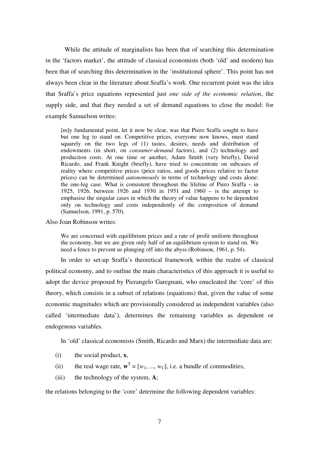While the attitude of marginalists has been that of searching this determination in the 'factors market', the attitude of classical economists (both 'old' and modern) has been that of searching this determination in the 'institutional sphere'. This point has not always been clear in the literature about Sraffa's work. One recurrent point was the idea that Sraffa's price equations represented just *one side of the economic relation*, the supply side, and that they needed a set of demand equations to close the model: for example Samuelson writes:

[m]y fundamental point, let it now be clear, was that Piero Sraffa sought to have but one leg to stand on. Competitive prices, everyone now knows, must stand squarely on the two legs of (1) tastes, desires, needs and distribution of endowments (in short, on *consumer-demand* factors), and (2) technology and production costs. At one time or another, Adam Smith (very briefly), David Ricardo, and Frank Knight (briefly), have tried to concentrate on subcases of reality where competitive prices (price ratios, and goods prices relative to factor prices) can be determined *autonomously* in terms of technology and costs alone: the one-leg case. What is consistent throughout the lifeline of Piero Sraffa – in 1925, 1926, between 1926 and 1930, in 1951 and 1960 – is the attempt to emphasise the singular cases in which the theory of value happens to be dependent only on technology and costs independently of the composition of demand (Samuelson, 1991, p. 570).

Also Joan Robinson writes:

We are concerned with equilibrium prices and a rate of profit uniform throughout the economy, but we are given only half of an equilibrium system to stand on. We need a fence to prevent us plunging off into the abyss (Robinson, 1961, p. 54).

In order to set-up Sraffa's theoretical framework within the realm of classical political economy, and to outline the main characteristics of this approach it is useful to adopt the device proposed by Pierangelo Garegnani, who enucleated the 'core' of this theory, which consists in a subset of relations (equations) that, given the value of some economic magnitudes which are provisionally considered as independent variables (also called 'intermediate data'), determines the remaining variables as dependent or endogenous variables.

In 'old' classical economists (Smith, Ricardo and Marx) the intermediate data are:

- (i) the social product, **x**,
- (ii) the real wage rate,  $\mathbf{w}^T = [w_1, ..., w_C]$ , i.e. a bundle of commodities,
- (iii) the technology of the system, **A**;

the relations belonging to the 'core' determine the following dependent variables: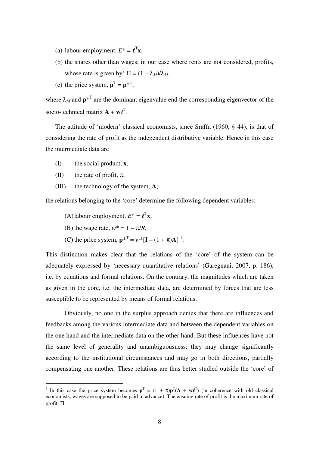- (a) labour employment,  $E^* = \ell^T \mathbf{x}$ ,
- (b) the shares other than wages; in our case where rents are not considered, profits, whose rate is given by<sup>7</sup>  $\Pi = (1 - \lambda_M)/\lambda_M$ ,
- (c) the price system,  $\mathbf{p}^T = \mathbf{p}^{*T}$ ,

where  $\lambda_M$  and  $p^{*T}$  are the dominant eigenvalue end the corresponding eigenvector of the socio-technical matrix  $\mathbf{A} + \mathbf{w}\boldsymbol{\ell}^{\mathrm{T}}$ .

The attitude of 'modern' classical economists, since Sraffa (1960, § 44), is that of considering the rate of profit as the independent distributive variable. Hence in this case the intermediate data are

- (I) the social product, **x**,
- (II) the rate of profit,  $\pi$ ,

 $\overline{a}$ 

(III) the technology of the system, **A**;

the relations belonging to the 'core' determine the following dependent variables:

- (A) labour employment,  $E^* = \ell^T \mathbf{x}$ ,
- (B) the wage rate,  $w^* = 1 \pi/R$ ,
- (C) the price system,  $\mathbf{p}^{*T} = w^* [\mathbf{I} (1 + \pi) \mathbf{A}]^{-1}$ .

This distinction makes clear that the relations of the 'core' of the system can be adequately expressed by 'necessary quantitative relations' (Garegnani, 2007, p. 186), i.e. by equations and formal relations. On the contrary, the magnitudes which are taken as given in the core, i.e. the intermediate data, are determined by forces that are less susceptible to be represented by means of formal relations.

 Obviously, no one in the surplus approach denies that there are influences and feedbacks among the various intermediate data and between the dependent variables on the one hand and the intermediate data on the other hand. But these influences have not the same level of generality and unambiguousness: they may change significantly according to the institutional circumstances and may go in both directions, partially compensating one another. These relations are thus better studied outside the 'core' of

<sup>&</sup>lt;sup>7</sup> In this case the price system becomes  $\mathbf{p}^T = (1 + \pi)\mathbf{p}^T(\mathbf{A} + \mathbf{w}\mathbf{\ell}^T)$  (in coherence with old classical economists, wages are supposed to be paid in advance). The ensuing rate of profit is the maximum rate of profit, Π.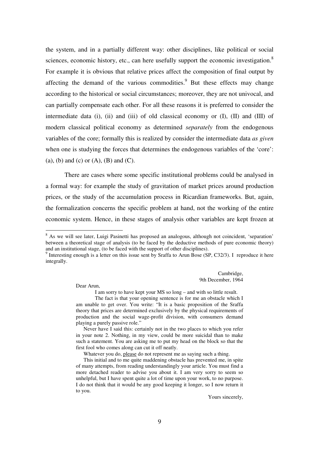the system, and in a partially different way: other disciplines, like political or social sciences, economic history, etc., can here usefully support the economic investigation.<sup>8</sup> For example it is obvious that relative prices affect the composition of final output by affecting the demand of the various commodities. $9$  But these effects may change according to the historical or social circumstances; moreover, they are not univocal, and can partially compensate each other. For all these reasons it is preferred to consider the intermediate data (i), (ii) and (iii) of old classical economy or  $(I)$ ,  $(II)$  and  $(III)$  of modern classical political economy as determined *separately* from the endogenous variables of the core; formally this is realized by consider the intermediate data *as given* when one is studying the forces that determines the endogenous variables of the 'core': (a), (b) and (c) or  $(A)$ ,  $(B)$  and  $(C)$ .

There are cases where some specific institutional problems could be analysed in a formal way: for example the study of gravitation of market prices around production prices, or the study of the accumulation process in Ricardian frameworks. But, again, the formalization concerns the specific problem at hand, not the working of the entire economic system. Hence, in these stages of analysis other variables are kept frozen at

Cambridge, 9th December, 1964

Dear Arun,

I am sorry to have kept your MS so long – and with so little result.

The fact is that your opening sentence is for me an obstacle which I am unable to get over. You write: "It is a basic proposition of the Sraffa theory that prices are determined exclusively by the physical requirements of production and the social wage-profit division, with consumers demand playing a purely passive role."

 Never have I said this: certainly not in the two places to which you refer in your note 2. Nothing, in my view, could be more suicidal than to make such a statement. You are asking me to put my head on the block so that the first fool who comes along can cut it off neatly.

Whatever you do, please do not represent me as saying such a thing.

 This initial and to me quite maddening obstacle has prevented me, in spite of many attempts, from reading understandingly your article. You must find a more detached reader to advise you about it. I am very sorry to seem so unhelpful, but I have spent quite a lot of time upon your work, to no purpose. I do not think that it would be any good keeping it longer, so I now return it to you.

Yours sincerely,

<sup>&</sup>lt;sup>8</sup> As we will see later, Luigi Pasinetti has proposed an analogous, although not coincident, 'separation' between a theoretical stage of analysis (to be faced by the deductive methods of pure economic theory) and an institutional stage, (to be faced with the support of other disciplines).

<sup>&</sup>lt;sup>9</sup> Interesting enough is a letter on this issue sent by Sraffa to Arun Bose (SP, C32/3). I reproduce it here integrally.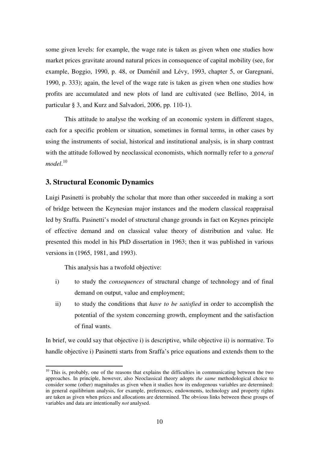some given levels: for example, the wage rate is taken as given when one studies how market prices gravitate around natural prices in consequence of capital mobility (see, for example, Boggio, 1990, p. 48, or Duménil and Lévy, 1993, chapter 5, or Garegnani, 1990, p. 333); again, the level of the wage rate is taken as given when one studies how profits are accumulated and new plots of land are cultivated (see Bellino, 2014, in particular § 3, and Kurz and Salvadori, 2006, pp. 110-1).

 This attitude to analyse the working of an economic system in different stages, each for a specific problem or situation, sometimes in formal terms, in other cases by using the instruments of social, historical and institutional analysis, is in sharp contrast with the attitude followed by neoclassical economists, which normally refer to a *general model*. 10

#### **3. Structural Economic Dynamics**

Luigi Pasinetti is probably the scholar that more than other succeeded in making a sort of bridge between the Keynesian major instances and the modern classical reappraisal led by Sraffa. Pasinetti's model of structural change grounds in fact on Keynes principle of effective demand and on classical value theory of distribution and value. He presented this model in his PhD dissertation in 1963; then it was published in various versions in (1965, 1981, and 1993).

This analysis has a twofold objective:

 $\overline{a}$ 

- i) to study the *consequences* of structural change of technology and of final demand on output, value and employment;
- ii) to study the conditions that *have to be satisfied* in order to accomplish the potential of the system concerning growth, employment and the satisfaction of final wants.

In brief, we could say that objective i) is descriptive, while objective ii) is normative. To handle objective i) Pasinetti starts from Sraffa's price equations and extends them to the

 $10$  This is, probably, one of the reasons that explains the difficulties in communicating between the two approaches. In principle, however, also Neoclassical theory adopts *the same* methodological choice to consider some (other) magnitudes as given when it studies how its endogenous variables are determined: in general equilibrium analysis, for example, preferences, endowments, technology and property rights are taken as given when prices and allocations are determined. The obvious links between these groups of variables and data are intentionally *not* analysed.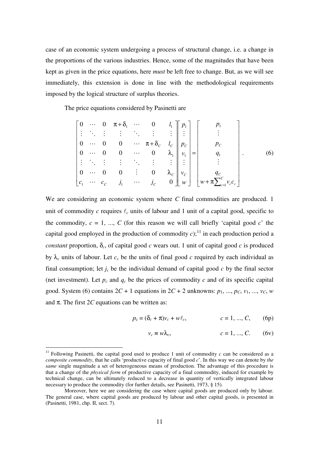case of an economic system undergoing a process of structural change, i.e. a change in the proportions of the various industries. Hence, some of the magnitudes that have been kept as given in the price equations, here *must* be left free to change. But, as we will see immediately, this extension is done in line with the methodological requirements imposed by the logical structure of surplus theories.

The price equations considered by Pasinetti are

$$
\begin{bmatrix}\n0 & \cdots & 0 & \pi + \delta_1 & \cdots & 0 & l_1 \\
\vdots & \ddots & \vdots & \vdots & \ddots & \vdots & \vdots \\
0 & \cdots & 0 & 0 & \cdots & \pi + \delta_c & l_c \\
0 & \cdots & 0 & 0 & \cdots & 0 & \lambda_1 & v_1 \\
\vdots & \ddots & \vdots & \vdots & \ddots & \vdots & \vdots & \vdots \\
0 & \cdots & 0 & 0 & \vdots & 0 & \lambda_c & v_c \\
c_1 & \cdots & c_c & j_1 & \cdots & j_c & 0 & w \n\end{bmatrix}\n\begin{bmatrix}\np_1 \\
p_2 \\
p_3 \\
p_4 \\
p_5 \\
p_6 \\
p_7 \\
p_8\n\end{bmatrix}\n=\n\begin{bmatrix}\np_1 \\
\vdots \\
p_c \\
p_c \\
\vdots \\
q_c \\
w + \pi \sum_{c=1}^C v_c c_c\n\end{bmatrix}.
$$
\n(6)

We are considering an economic system where *C* final commodities are produced. 1 unit of commodity  $c$  requires  $\ell_c$  units of labour and 1 unit of a capital good, specific to the commodity,  $c = 1, ..., C$  (for this reason we will call briefly 'capital good  $c$ ' the capital good employed in the production of commodity  $c$ );<sup>11</sup> in each production period a *constant* proportion,  $\delta_c$ , of capital good *c* wears out. 1 unit of capital good *c* is produced by  $\lambda_c$  units of labour. Let  $c_c$  be the units of final good *c* required by each individual as final consumption; let  $j_c$  be the individual demand of capital good  $c$  by the final sector (net investment). Let  $p_c$  and  $q_c$  be the prices of commodity  $c$  and of its specific capital good. System (6) contains  $2C + 1$  equations in  $2C + 2$  unknowns:  $p_1, ..., p_C, v_1, ..., v_C, w$ and  $\pi$ . The first 2*C* equations can be written as:

$$
p_c = (\delta_c + \pi)v_c + w\ell_c, \qquad c = 1, ..., C, \qquad (6p)
$$

$$
v_c = w\lambda_c, \qquad c = 1, ..., C. \qquad (6v)
$$

<sup>&</sup>lt;sup>11</sup> Following Pasinetti, the capital good used to produce 1 unit of commodity  $c$  can be considered as a *composite commodity*, that he calls 'productive capacity of final good *c*'. In this way we can denote by *the same* single magnitude a set of heterogeneous means of production. The advantage of this procedure is that a change of the *physical form* of productive capacity of a final commodity, induced for example by technical change, can be ultimately reduced to a decrease in quantity of vertically integrated labour necessary to produce the commodity (for further details, see Pasinetti, 1973, § 15).

Moreover, here we are considering the case where capital goods are produced only by labour. The general case, where capital goods are produced by labour and other capital goods, is presented in (Pasinetti, 1981, chp. II, sect. 7).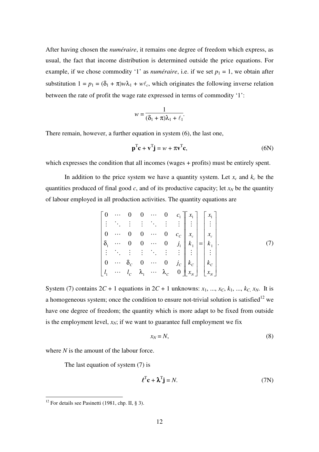After having chosen the *numéraire*, it remains one degree of freedom which express, as usual, the fact that income distribution is determined outside the price equations. For example, if we chose commodity '1' as *numéraire*, i.e. if we set  $p_1 = 1$ , we obtain after substitution  $1 = p_1 = (\delta_1 + \pi) w \lambda_1 + w \ell_c$ , which originates the following inverse relation between the rate of profit the wage rate expressed in terms of commodity '1':

$$
w = \frac{1}{(\delta_1 + \pi)\lambda_1 + \ell_1}.
$$

There remain, however, a further equation in system (6), the last one,

$$
\mathbf{p}^{\mathrm{T}}\mathbf{c} + \mathbf{v}^{\mathrm{T}}\mathbf{j} = w + \pi \mathbf{v}^{\mathrm{T}}\mathbf{c},\tag{6N}
$$

which expresses the condition that all incomes (wages + profits) must be entirely spent.

In addition to the price system we have a quantity system. Let  $x_c$  and  $k_c$  be the quantities produced of final good  $c$ , and of its productive capacity; let  $x_N$  be the quantity of labour employed in all production activities. The quantity equations are

$$
\begin{bmatrix}\n0 & \cdots & 0 & 0 & \cdots & 0 & c_1 \\
\vdots & \ddots & \vdots & \vdots & \ddots & \vdots & \vdots \\
0 & \cdots & 0 & 0 & \cdots & 0 & c_c \\
\delta_1 & \cdots & 0 & 0 & \cdots & 0 & j_1 \\
\vdots & \ddots & \vdots & \vdots & \ddots & \vdots & \vdots \\
0 & \cdots & \delta_c & 0 & \cdots & 0 & j_c \\
l_1 & \cdots & l_c & \lambda_1 & \cdots & \lambda_c & 0\n\end{bmatrix}\n\begin{bmatrix}\nx_1 \\
x_2 \\
x_c \\
k_1 \\
\vdots \\
k_c \\
k_c \\
k_c \\
x_N\n\end{bmatrix} =\n\begin{bmatrix}\nx_1 \\
x_1 \\
x_2 \\
k_1 \\
\vdots \\
k_c \\
k_c \\
x_N\n\end{bmatrix}.
$$
\n(7)

System (7) contains  $2C + 1$  equations in  $2C + 1$  unknowns:  $x_1, ..., x_C, k_1, ..., k_C, x_N$ . It is a homogeneous system; once the condition to ensure not-trivial solution is satisfied<sup>12</sup> we have one degree of freedom; the quantity which is more adapt to be fixed from outside is the employment level,  $x_N$ ; if we want to guarantee full employment we fix

$$
x_N = N,\tag{8}
$$

where *N* is the amount of the labour force.

The last equation of system (7) is

$$
\ell^{\mathrm{T}} \mathbf{c} + \boldsymbol{\lambda}^{\mathrm{T}} \mathbf{j} = N. \tag{7N}
$$

 $12$  For details see Pasinetti (1981, chp. II, § 3).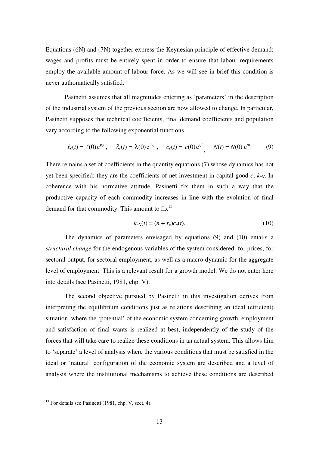Equations (6N) and (7N) together express the Keynesian principle of effective demand: wages and profits must be entirely spent in order to ensure that labour requirements employ the available amount of labour force. As we will see in brief this condition is never authomatically satisfied.

 Pasinetti assumes that all magnitudes entering as 'parameters' in the description of the industrial system of the previous section are now allowed to change. In particular, Pasinetti supposes that technical coefficients, final demand coefficients and population vary according to the following exponential functions

$$
\ell_c(t) = \ell(0) e^{\rho_c t}, \quad \lambda_c(t) = \lambda(0) e^{\rho_{j_c} t}, \quad c_c(t) = c(0) e^{r_c t}, \quad N(t) = N(0) e^{nt}.
$$
 (9)

There remains a set of coefficients in the quantity equations (7) whose dynamics has not yet been specified: they are the coefficients of net investment in capital good  $c$ ,  $k_{cN}$ . In coherence with his normative attitude, Pasinetti fix them in such a way that the productive capacity of each commodity increases in line with the evolution of final demand for that commodity. This amount to  $fix^{13}$ 

$$
k_{cN}(t) = (n + r_c)c_c(t).
$$
 (10)

The dynamics of parameters envisaged by equations (9) and (10) entails a *structural change* for the endogenous variables of the system considered: for prices, for sectoral output, for sectoral employment, as well as a macro-dynamic for the aggregate level of employment. This is a relevant result for a growth model. We do not enter here into details (see Pasinetti, 1981, chp. V).

 The second objective pursued by Pasinetti in this investigation derives from interpreting the equilibrium conditions just as relations describing an ideal (efficient) situation, where the 'potential' of the economic system concerning growth, employment and satisfaction of final wants is realized at best, independently of the study of the forces that will take care to realize these conditions in an actual system. This allows him to 'separate' a level of analysis where the various conditions that must be satisfied in the ideal or 'natural' configuration of the economic system are described and a level of analysis where the institutional mechanisms to achieve these conditions are described

 $13$  For details see Pasinetti (1981, chp. V, sect. 4).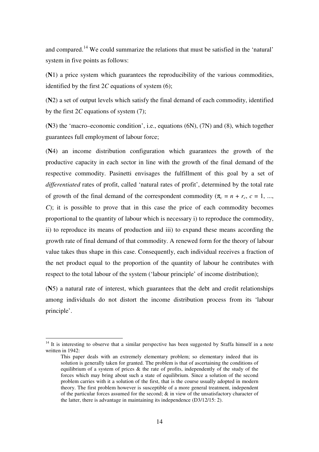and compared.<sup>14</sup> We could summarize the relations that must be satisfied in the 'natural' system in five points as follows:

(**N**1) a price system which guarantees the reproducibility of the various commodities, identified by the first 2*C* equations of system (6);

(**N**2) a set of output levels which satisfy the final demand of each commodity, identified by the first 2*C* equations of system (7);

(**N**3) the 'macro–economic condition', i.e., equations (6N), (7N) and (8), which together guarantees full employment of labour force;

(**N**4) an income distribution configuration which guarantees the growth of the productive capacity in each sector in line with the growth of the final demand of the respective commodity. Pasinetti envisages the fulfillment of this goal by a set of *differentiated* rates of profit, called 'natural rates of profit', determined by the total rate of growth of the final demand of the correspondent commodity ( $\pi_c = n + r_c$ ,  $c = 1$ , ..., *C*); it is possible to prove that in this case the price of each commodity becomes proportional to the quantity of labour which is necessary i) to reproduce the commodity, ii) to reproduce its means of production and iii) to expand these means according the growth rate of final demand of that commodity. A renewed form for the theory of labour value takes thus shape in this case. Consequently, each individual receives a fraction of the net product equal to the proportion of the quantity of labour he contributes with respect to the total labour of the system ('labour principle' of income distribution);

(**N**5) a natural rate of interest, which guarantees that the debt and credit relationships among individuals do not distort the income distribution process from its 'labour principle'.

 $14$  It is interesting to observe that a similar perspective has been suggested by Sraffa himself in a note written in 1942:

This paper deals with an extremely elementary problem; so elementary indeed that its solution is generally taken for granted. The problem is that of ascertaining the conditions of equilibrium of a system of prices  $\&$  the rate of profits, independently of the study of the forces which may bring about such a state of equilibrium. Since a solution of the second problem carries with it a solution of the first, that is the course usually adopted in modern theory. The first problem however is susceptible of a more general treatment, independent of the particular forces assumed for the second;  $\&$  in view of the unsatisfactory character of the latter, there is advantage in maintaining its independence (D3/12/15: 2).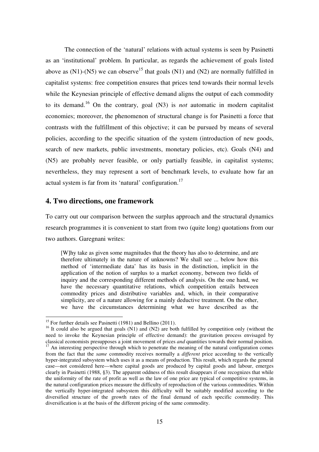The connection of the 'natural' relations with actual systems is seen by Pasinetti as an 'institutional' problem. In particular, as regards the achievement of goals listed above as (N1)-(N5) we can observe<sup>15</sup> that goals (N1) and (N2) are normally fulfilled in capitalist systems: free competition ensures that prices tend towards their normal levels while the Keynesian principle of effective demand aligns the output of each commodity to its demand.<sup>16</sup> On the contrary, goal  $(N3)$  is *not* automatic in modern capitalist economies; moreover, the phenomenon of structural change is for Pasinetti a force that contrasts with the fulfillment of this objective; it can be pursued by means of several policies, according to the specific situation of the system (introduction of new goods, search of new markets, public investments, monetary policies, etc). Goals (N4) and (N5) are probably never feasible, or only partially feasible, in capitalist systems; nevertheless, they may represent a sort of benchmark levels, to evaluate how far an actual system is far from its 'natural' configuration.<sup>17</sup>

### **4. Two directions, one framework**

To carry out our comparison between the surplus approach and the structural dynamics research programmes it is convenient to start from two (quite long) quotations from our two authors. Garegnani writes:

[W]hy take as given some magnitudes that the theory has also to determine, and are therefore ultimately in the nature of unknowns? We shall see ... below how this method of 'intermediate data' has its basis in the distinction, implicit in the application of the notion of surplus to a market economy, between two fields of inquiry and the corresponding different methods of analysis. On the one hand, we have the necessary quantitative relations, which competition entails between commodity prices and distributive variables and, which, in their comparative simplicity, are of a nature allowing for a mainly deductive treatment. On the other, we have the circumstances determining what we have described as the

<sup>&</sup>lt;sup>15</sup> For further details see Pasinetti (1981) and Bellino (2011).

<sup>&</sup>lt;sup>16</sup> It could also be argued that goals  $(N1)$  and  $(N2)$  are both fulfilled by competition only (without the need to invoke the Keynesian principle of effective demand): the gravitation process envisaged by classical economists presupposes a joint movement of prices *and* quantities towards their normal position.  $17$  An interesting perspective through which to penetrate the meaning of the natural configuration comes from the fact that the *same* commodity receives normally a *different* price according to the vertically hyper-integrated subsystem which uses it as a means of production. This result, which regards the general case—not considered here—where capital goods are produced by capital goods and labour, emerges clearly in Pasinetti (1988, §3). The apparent oddness of this result disappears if one recognizes that while the uniformity of the rate of profit as well as the law of one price are typical of competitive systems, in the natural configuration prices measure the difficulty of reproduction of the various commodities. Within the vertically hyper-integrated subsystem this difficulty will be suitably modified according to the diversified structure of the growth rates of the final demand of each specific commodity. This diversification is at the basis of the different pricing of the same commodity.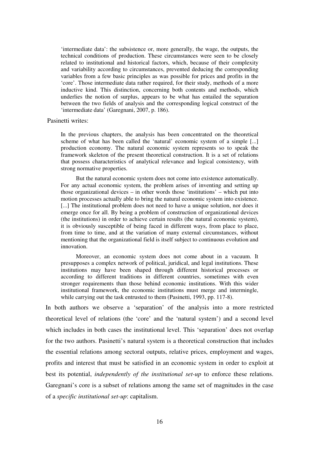'intermediate data': the subsistence or, more generally, the wage, the outputs, the technical conditions of production. These circumstances were seen to be closely related to institutional and historical factors, which, because of their complexity and variability according to circumstances, prevented deducing the corresponding variables from a few basic principles as was possible for prices and profits in the 'core'. Those intermediate data rather required, for their study, methods of a more inductive kind. This distinction, concerning both contents and methods, which underlies the notion of surplus, appears to be what has entailed the separation between the two fields of analysis and the corresponding logical construct of the 'intermediate data' (Garegnani, 2007, p. 186).

#### Pasinetti writes:

In the previous chapters, the analysis has been concentrated on the theoretical scheme of what has been called the 'natural' economic system of a simple [...] production economy. The natural economic system represents so to speak the framework skeleton of the present theoretical construction. It is a set of relations that possess characteristics of analytical relevance and logical consistency, with strong normative properties.

 But the natural economic system does not come into existence automatically. For any actual economic system, the problem arises of inventing and setting up those organizational devices – in other words those 'institutions' – which put into motion processes actually able to bring the natural economic system into existence. [...] The institutional problem does not need to have a unique solution, nor does it emerge once for all. By being a problem of construction of organizational devices (the institutions) in order to achieve certain results (the natural economic system), it is obviously susceptible of being faced in different ways, from place to place, from time to time, and at the variation of many external circumstances, without mentioning that the organizational field is itself subject to continuous evolution and innovation.

 Moreover, an economic system does not come about in a vacuum. It presupposes a complex network of political, juridical, and legal institutions. These institutions may have been shaped through different historical processes or according to different traditions in different countries, sometimes with even stronger requirements than those behind economic institutions. With this wider institutional framework, the economic institutions must merge and intermingle, while carrying out the task entrusted to them (Pasinetti, 1993, pp. 117-8).

In both authors we observe a 'separation' of the analysis into a more restricted theoretical level of relations (the 'core' and the 'natural system') and a second level which includes in both cases the institutional level. This 'separation' does not overlap for the two authors. Pasinetti's natural system is a theoretical construction that includes the essential relations among sectoral outputs, relative prices, employment and wages, profits and interest that must be satisfied in an economic system in order to exploit at best its potential, *independently of the institutional set-up* to enforce these relations. Garegnani's core is a subset of relations among the same set of magnitudes in the case of a *specific institutional set-up*: capitalism.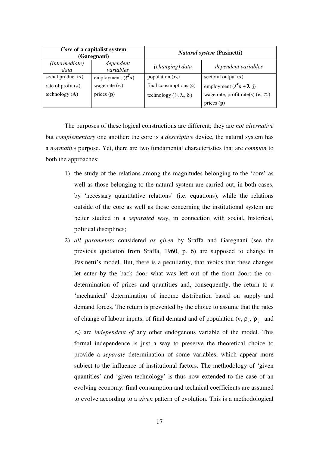| Core of a capitalist system<br>(Garegnani) |                          | <b>Natural system (Pasinetti)</b>          |                                                                      |
|--------------------------------------------|--------------------------|--------------------------------------------|----------------------------------------------------------------------|
| (intermediate)<br>data                     | dependent<br>variables   | (changing) data                            | dependent variables                                                  |
| social product $(x)$                       | employment, $(\ell^T x)$ | population $(x_N)$                         | sectoral output $(x)$                                                |
| rate of profit $(\pi)$                     | wage rate $(w)$          | final consumptions $(c)$                   | employment $(\ell^T \mathbf{x} + \boldsymbol{\lambda}^T \mathbf{j})$ |
| technology $(A)$                           | prices $(p)$             | technology $(\ell_i, \lambda_i, \delta_i)$ | wage rate, profit rate(s) $(w, \pi_c)$                               |
|                                            |                          |                                            | prices $(p)$                                                         |

The purposes of these logical constructions are different; they are *not alternative* but *complementary* one another: the core is a *descriptive* device, the natural system has a *normative* purpose. Yet, there are two fundamental characteristics that are *common* to both the approaches:

- 1) the study of the relations among the magnitudes belonging to the 'core' as well as those belonging to the natural system are carried out, in both cases, by 'necessary quantitative relations' (i.e. equations), while the relations outside of the core as well as those concerning the institutional system are better studied in a *separated* way, in connection with social, historical, political disciplines;
- 2) *all parameters* considered *as given* by Sraffa and Garegnani (see the previous quotation from Sraffa, 1960, p. 6) are supposed to change in Pasinetti's model. But, there is a peculiarity, that avoids that these changes let enter by the back door what was left out of the front door: the codetermination of prices and quantities and, consequently, the return to a 'mechanical' determination of income distribution based on supply and demand forces. The return is prevented by the choice to assume that the rates of change of labour inputs, of final demand and of population  $(n, \rho_c, \rho_j)$  and *rc*) are *independent of* any other endogenous variable of the model. This formal independence is just a way to preserve the theoretical choice to provide a *separate* determination of some variables, which appear more subject to the influence of institutional factors. The methodology of 'given quantities' and 'given technology' is thus now extended to the case of an evolving economy: final consumption and technical coefficients are assumed to evolve according to a *given* pattern of evolution. This is a methodological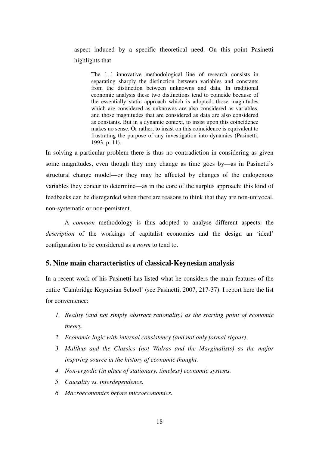aspect induced by a specific theoretical need. On this point Pasinetti highlights that

The [...] innovative methodological line of research consists in separating sharply the distinction between variables and constants from the distinction between unknowns and data. In traditional economic analysis these two distinctions tend to coincide because of the essentially static approach which is adopted: those magnitudes which are considered as unknowns are also considered as variables, and those magnitudes that are considered as data are also considered as constants. But in a dynamic context, to insist upon this coincidence makes no sense. Or rather, to insist on this coincidence is equivalent to frustrating the purpose of any investigation into dynamics (Pasinetti, 1993, p. 11).

In solving a particular problem there is thus no contradiction in considering as given some magnitudes, even though they may change as time goes by—as in Pasinetti's structural change model—or they may be affected by changes of the endogenous variables they concur to determine—as in the core of the surplus approach: this kind of feedbacks can be disregarded when there are reasons to think that they are non-univocal, non-systematic or non-persistent.

 A *common* methodology is thus adopted to analyse different aspects: the *description* of the workings of capitalist economies and the design an 'ideal' configuration to be considered as a *norm* to tend to.

# **5. Nine main characteristics of classical-Keynesian analysis**

In a recent work of his Pasinetti has listed what he considers the main features of the entire 'Cambridge Keynesian School' (see Pasinetti, 2007, 217-37). I report here the list for convenience:

- *1. Reality (and not simply abstract rationality) as the starting point of economic theory.*
- *2. Economic logic with internal consistency (and not only formal rigour).*
- *3. Malthus and the Classics (not Walras and the Marginalists) as the major inspiring source in the history of economic thought.*
- *4. Non-ergodic (in place of stationary, timeless) economic systems.*
- *5. Causality vs. interdependence.*
- *6. Macroeconomics before microeconomics.*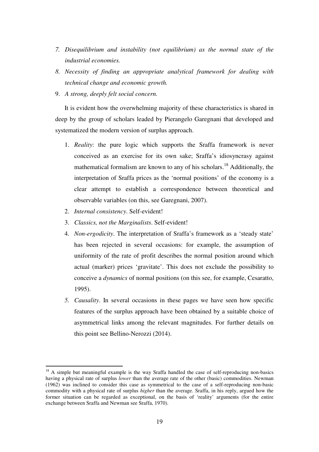- *7. Disequilibrium and instability (not equilibrium) as the normal state of the industrial economies.*
- *8. Necessity of finding an appropriate analytical framework for dealing with technical change and economic growth.*
- 9. *A strong, deeply felt social concern.*

It is evident how the overwhelming majority of these characteristics is shared in deep by the group of scholars leaded by Pierangelo Garegnani that developed and systematized the modern version of surplus approach.

- 1. *Reality*: the pure logic which supports the Sraffa framework is never conceived as an exercise for its own sake; Sraffa's idiosyncrasy against mathematical formalism are known to any of his scholars.<sup>18</sup> Additionally, the interpretation of Sraffa prices as the 'normal positions' of the economy is a clear attempt to establish a correspondence between theoretical and observable variables (on this, see Garegnani, 2007).
- 2. *Internal consistency*. Self-evident!

- 3. *Classics, not the Marginalists*. Self-evident!
- 4. *Non-ergodicity*. The interpretation of Sraffa's framework as a 'steady state' has been rejected in several occasions: for example, the assumption of uniformity of the rate of profit describes the normal position around which actual (marker) prices 'gravitate'. This does not exclude the possibility to conceive a *dynamics* of normal positions (on this see, for example, Cesaratto, 1995).
- *5. Causality*. In several occasions in these pages we have seen how specific features of the surplus approach have been obtained by a suitable choice of asymmetrical links among the relevant magnitudes. For further details on this point see Bellino-Nerozzi (2014).

 $18$  A simple but meaningful example is the way Sraffa handled the case of self-reproducing non-basics having a physical rate of surplus *lower* than the average rate of the other (basic) commodities. Newman (1962) was inclined to consider this case as symmetrical to the case of a self-reproducing non-basic commodity with a physical rate of surplus *higher* than the average. Sraffa, in his reply, argued how the former situation can be regarded as exceptional, on the basis of 'reality' arguments (for the entire exchange between Sraffa and Newman see Sraffa, 1970).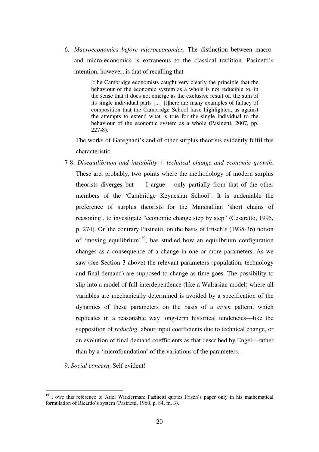6. *Macroeconomics before microeconomics*. The distinction between macroand micro-economics is extraneous to the classical tradition. Pasinetti's intention, however, is that of recalling that

> [t]he Cambridge economists caught very clearly the principle that the behaviour of the economic system as a whole is not reducible to, in the sense that it does not emerge as the exclusive result of, the sum of its single individual parts [...] [t]here are many examples of fallacy of composition that the Cambridge School have highlighted, as against the attempts to extend what is true for the single individual to the behaviour of the economic system as a whole (Pasinetti, 2007, pp. 227-8).

The works of Garegnani's and of other surplus theorists evidently fulfil this characteristic.

- 7-8. *Disequilibrium and instability + technical change and economic growth*. These are, probably, two points where the methodology of modern surplus theorists diverges but  $-$  I argue  $-$  only partially from that of the other members of the 'Cambridge Keynesian School'. It is undeniable the preference of surplus theorists for the Marshallian 'short chains of reasoning', to investigate "economic change step by step" (Cesaratto, 1995, p. 274). On the contrary Pasinetti, on the basis of Frisch's (1935-36) notion of 'moving equilibrium'<sup>19</sup>, has studied how an equilibrium configuration changes as a consequence of a change in one or more parameters. As we saw (see Section 3 above) the relevant parameters (population, technology and final demand) are supposed to change as time goes. The possibility to slip into a model of full interdependence (like a Walrasian model) where all variables are mechanically determined is avoided by a specification of the dynamics of these parameters on the basis of a *given* pattern, which replicates in a reasonable way long-term historical tendencies—like the supposition of *reducing* labour input coefficients due to technical change, or an evolution of final demand coefficients as that described by Engel—rather than by a 'microfoundation' of the variations of the parameters.
- 9. *Social concern*. Self evident!

 $19$  I owe this reference to Ariel Wirkierman: Pasinetti quotes Frisch's paper only in his mathematical formulation of Ricardo's system (Pasinetti, 1960, p. 84, fn. 3).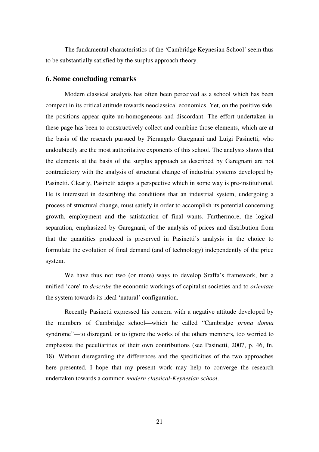The fundamental characteristics of the 'Cambridge Keynesian School' seem thus to be substantially satisfied by the surplus approach theory.

#### **6. Some concluding remarks**

Modern classical analysis has often been perceived as a school which has been compact in its critical attitude towards neoclassical economics. Yet, on the positive side, the positions appear quite un-homogeneous and discordant. The effort undertaken in these page has been to constructively collect and combine those elements, which are at the basis of the research pursued by Pierangelo Garegnani and Luigi Pasinetti, who undoubtedly are the most authoritative exponents of this school. The analysis shows that the elements at the basis of the surplus approach as described by Garegnani are not contradictory with the analysis of structural change of industrial systems developed by Pasinetti. Clearly, Pasinetti adopts a perspective which in some way is pre-institutional. He is interested in describing the conditions that an industrial system, undergoing a process of structural change, must satisfy in order to accomplish its potential concerning growth, employment and the satisfaction of final wants. Furthermore, the logical separation, emphasized by Garegnani, of the analysis of prices and distribution from that the quantities produced is preserved in Pasinetti's analysis in the choice to formulate the evolution of final demand (and of technology) independently of the price system.

We have thus not two (or more) ways to develop Sraffa's framework, but a unified 'core' to *describe* the economic workings of capitalist societies and to *orientate* the system towards its ideal 'natural' configuration.

Recently Pasinetti expressed his concern with a negative attitude developed by the members of Cambridge school—which he called "Cambridge *prima donna* syndrome"—to disregard, or to ignore the works of the others members, too worried to emphasize the peculiarities of their own contributions (see Pasinetti, 2007, p. 46, fn. 18). Without disregarding the differences and the specificities of the two approaches here presented, I hope that my present work may help to converge the research undertaken towards a common *modern classical-Keynesian school*.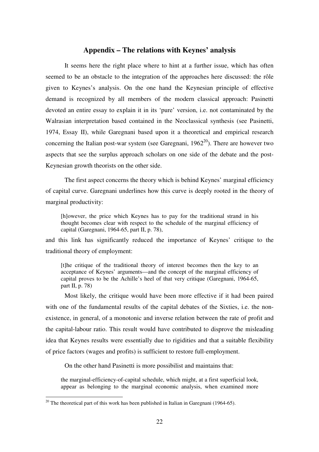# **Appendix – The relations with Keynes' analysis**

It seems here the right place where to hint at a further issue, which has often seemed to be an obstacle to the integration of the approaches here discussed: the rôle given to Keynes's analysis. On the one hand the Keynesian principle of effective demand is recognized by all members of the modern classical approach: Pasinetti devoted an entire essay to explain it in its 'pure' version, i.e. not contaminated by the Walrasian interpretation based contained in the Neoclassical synthesis (see Pasinetti, 1974, Essay II), while Garegnani based upon it a theoretical and empirical research concerning the Italian post-war system (see Garegnani,  $1962^{20}$ ). There are however two aspects that see the surplus approach scholars on one side of the debate and the post-Keynesian growth theorists on the other side.

The first aspect concerns the theory which is behind Keynes' marginal efficiency of capital curve. Garegnani underlines how this curve is deeply rooted in the theory of marginal productivity:

[h]owever, the price which Keynes has to pay for the traditional strand in his thought becomes clear with respect to the schedule of the marginal efficiency of capital (Garegnani, 1964-65, part II, p. 78),

and this link has significantly reduced the importance of Keynes' critique to the traditional theory of employment:

[t]he critique of the traditional theory of interest becomes then the key to an acceptance of Keynes' arguments—and the concept of the marginal efficiency of capital proves to be the Achille's heel of that very critique (Garegnani, 1964-65, part II, p. 78)

Most likely, the critique would have been more effective if it had been paired with one of the fundamental results of the capital debates of the Sixties, i.e. the nonexistence, in general, of a monotonic and inverse relation between the rate of profit and the capital-labour ratio. This result would have contributed to disprove the misleading idea that Keynes results were essentially due to rigidities and that a suitable flexibility of price factors (wages and profits) is sufficient to restore full-employment.

On the other hand Pasinetti is more possibilist and maintains that:

the marginal-efficiency-of-capital schedule, which might, at a first superficial look, appear as belonging to the marginal economic analysis, when examined more

<sup>&</sup>lt;sup>20</sup> The theoretical part of this work has been published in Italian in Garegnani (1964-65).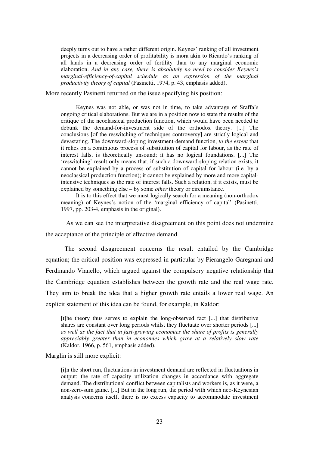deeply turns out to have a rather different origin. Keynes' ranking of all invsetment projects in a decreasing order of profitability is mora akin to Ricardo's ranking of all lands in a decreasing order of fertility than to any marginal economic elaboration. *And in any case, there is absolutely no need to consider Keynes's marginal-efficiency-of-capital schedule as an expression of the marginal productivity theory of capital* (Pasinetti, 1974, p. 43, emphasis added).

More recently Pasinetti returned on the issue specifying his position:

 Keynes was not able, or was not in time, to take advantage of Sraffa's ongoing critical elaborations. But we are in a position now to state the results of the critique of the neoclassical production function, which would have been needed to debunk the demand-for-investment side of the orthodox theory. [...] The conclusions [of the reswitching of techniques controversy] are strictly logical and devastating. The downward-sloping investment-demand function, *to the extent* that it relies on a continuous process of substitution of capital for labour, as the rate of interest falls, is theoretically unsound; it has no logical foundations. [...] The 'reswitching' result only means that, if such a downward-sloping relation exists, it cannot be explained by a process of substitution of capital for labour (i.e. by a neoclassical production function); it cannot be explained by more and more capitalintensive techniques as the rate of interest falls. Such a relation, if it exists, must be explained by something else – by some *other* theory or circumstance.

 It is to this effect that we must logically search for a meaning (non-orthodox meaning) of Keynes's notion of the 'marginal efficiency of capital' (Pasinetti, 1997, pp. 203-4, emphasis in the original).

 As we can see the interpretative disagreement on this point does not undermine the acceptance of the principle of effective demand.

The second disagreement concerns the result entailed by the Cambridge equation; the critical position was expressed in particular by Pierangelo Garegnani and Ferdinando Vianello, which argued against the compulsory negative relationship that the Cambridge equation establishes between the growth rate and the real wage rate. They aim to break the idea that a higher growth rate entails a lower real wage. An explicit statement of this idea can be found, for example, in Kaldor:

[t]he theory thus serves to explain the long-observed fact [...] that distributive shares are constant over long periods whilst they fluctuate over shorter periods [...] *as well as the fact that in fast-growing economies the share of profits is generally appreciably greater than in economies which grow at a relatively slow rate* (Kaldor, 1966, p. 561, emphasis added).

Marglin is still more explicit:

[i]n the short run, fluctuations in investment demand are reflected in fluctuations in output; the rate of capacity utilization changes in accordance with aggregate demand. The distributional conflict between capitalists and workers is, as it were, a non-zero-sum game. [...] But in the long run, the period with which neo-Keynesian analysis concerns itself, there is no excess capacity to accommodate investment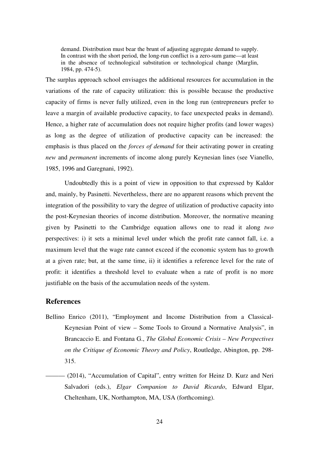demand. Distribution must bear the brunt of adjusting aggregate demand to supply. In contrast with the short period, the long-run conflict is a zero-sum game—at least in the absence of technological substitution or technological change (Marglin, 1984, pp. 474-5).

The surplus approach school envisages the additional resources for accumulation in the variations of the rate of capacity utilization: this is possible because the productive capacity of firms is never fully utilized, even in the long run (entrepreneurs prefer to leave a margin of available productive capacity, to face unexpected peaks in demand). Hence, a higher rate of accumulation does not require higher profits (and lower wages) as long as the degree of utilization of productive capacity can be increased: the emphasis is thus placed on the *forces of demand* for their activating power in creating *new* and *permanent* increments of income along purely Keynesian lines (see Vianello, 1985, 1996 and Garegnani, 1992).

 Undoubtedly this is a point of view in opposition to that expressed by Kaldor and, mainly, by Pasinetti. Nevertheless, there are no apparent reasons which prevent the integration of the possibility to vary the degree of utilization of productive capacity into the post-Keynesian theories of income distribution. Moreover, the normative meaning given by Pasinetti to the Cambridge equation allows one to read it along *two* perspectives: i) it sets a minimal level under which the profit rate cannot fall, i.e. a maximum level that the wage rate cannot exceed if the economic system has to growth at a given rate; but, at the same time, ii) it identifies a reference level for the rate of profit: it identifies a threshold level to evaluate when a rate of profit is no more justifiable on the basis of the accumulation needs of the system.

# **References**

- Bellino Enrico (2011), "Employment and Income Distribution from a Classical-Keynesian Point of view – Some Tools to Ground a Normative Analysis", in Brancaccio E. and Fontana G., *The Global Economic Crisis – New Perspectives on the Critique of Economic Theory and Policy*, Routledge, Abington, pp. 298- 315.
	- (2014), "Accumulation of Capital", entry written for Heinz D. Kurz and Neri Salvadori (eds.), *Elgar Companion to David Ricardo*, Edward Elgar, Cheltenham, UK, Northampton, MA, USA (forthcoming).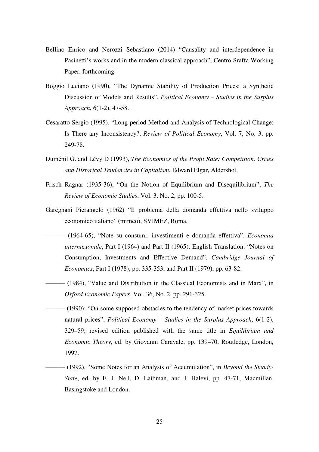- Bellino Enrico and Nerozzi Sebastiano (2014) "Causality and interdependence in Pasinetti's works and in the modern classical approach", Centro Sraffa Working Paper, forthcoming.
- Boggio Luciano (1990), "The Dynamic Stability of Production Prices: a Synthetic Discussion of Models and Results", *Political Economy – Studies in the Surplus Approach*, 6(1-2), 47-58.
- Cesaratto Sergio (1995), "Long-period Method and Analysis of Technological Change: Is There any Inconsistency?, *Review of Political Economy*, Vol. 7, No. 3, pp. 249-78.
- Duménil G. and Lévy D (1993), *The Economics of the Profit Rate: Competition, Crises and Historical Tendencies in Capitalism*, Edward Elgar, Aldershot.
- Frisch Ragnar (1935-36), "On the Notion of Equilibrium and Disequilibrium", *The Review of Economic Studies*, Vol. 3. No. 2, pp. 100-5.
- Garegnani Pierangelo (1962) "Il problema della domanda effettiva nello sviluppo economico italiano" (mimeo), SVIMEZ, Roma.
- ——— (1964-65), "Note su consumi, investimenti e domanda effettiva", *Economia internazionale*, Part I (1964) and Part II (1965). English Translation: "Notes on Consumption, Investments and Effective Demand", *Cambridge Journal of Economics*, Part I (1978), pp. 335-353, and Part II (1979), pp. 63-82.
- ——— (1984), "Value and Distribution in the Classical Economists and in Marx", in *Oxford Economic Papers*, Vol. 36, No. 2, pp. 291-325.
- ——— (1990): "On some supposed obstacles to the tendency of market prices towards natural prices", *Political Economy – Studies in the Surplus Approach*, 6(1-2), 329–59; revised edition published with the same title in *Equilibrium and Economic Theory*, ed. by Giovanni Caravale, pp. 139–70, Routledge, London, 1997.
- $-$  (1992), "Some Notes for an Analysis of Accumulation", in *Beyond the Steady-State*, ed. by E. J. Nell, D. Laibman, and J. Halevi, pp. 47-71, Macmillan, Basingstoke and London.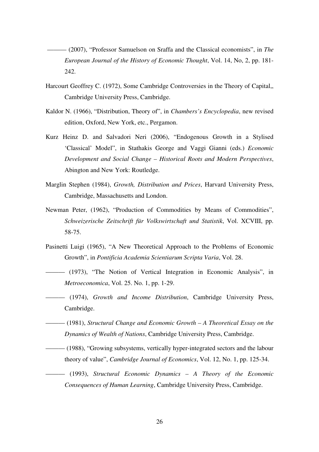——— (2007), "Professor Samuelson on Sraffa and the Classical economists", in *The European Journal of the History of Economic Thought*, Vol. 14, No, 2, pp. 181- 242.

- Harcourt Geoffrey C. (1972), Some Cambridge Controversies in the Theory of Capital,, Cambridge University Press, Cambridge.
- Kaldor N. (1966), "Distribution, Theory of", in *Chambers's Encyclopedia*, new revised edition, Oxford, New York, etc., Pergamon.
- Kurz Heinz D. and Salvadori Neri (2006), "Endogenous Growth in a Stylised 'Classical' Model", in Stathakis George and Vaggi Gianni (eds.) *Economic Development and Social Change – Historical Roots and Modern Perspectives*, Abington and New York: Routledge.
- Marglin Stephen (1984), *Growth, Distribution and Prices*, Harvard University Press, Cambridge, Massachusetts and London.
- Newman Peter, (1962), "Production of Commodities by Means of Commodities", *Schweizerische Zeitschrift für Volkswirtschaft und Statistik*, Vol. XCVIII, pp. 58-75.
- Pasinetti Luigi (1965), "A New Theoretical Approach to the Problems of Economic Growth", in *Pontificia Academia Scientiarum Scripta Varia*, Vol. 28.
- ——— (1973), "The Notion of Vertical Integration in Economic Analysis", in *Metroeconomica*, Vol. 25. No. 1, pp. 1-29.
- ——— (1974), *Growth and Income Distribution*, Cambridge University Press, Cambridge.
- ——— (1981), *Structural Change and Economic Growth A Theoretical Essay on the Dynamics of Wealth of Nations*, Cambridge University Press, Cambridge.
- $-$  (1988), "Growing subsystems, vertically hyper-integrated sectors and the labour theory of value", *Cambridge Journal of Economics*, Vol. 12, No. 1, pp. 125-34.
- ——— (1993), *Structural Economic Dynamics A Theory of the Economic Consequences of Human Learning*, Cambridge University Press, Cambridge.